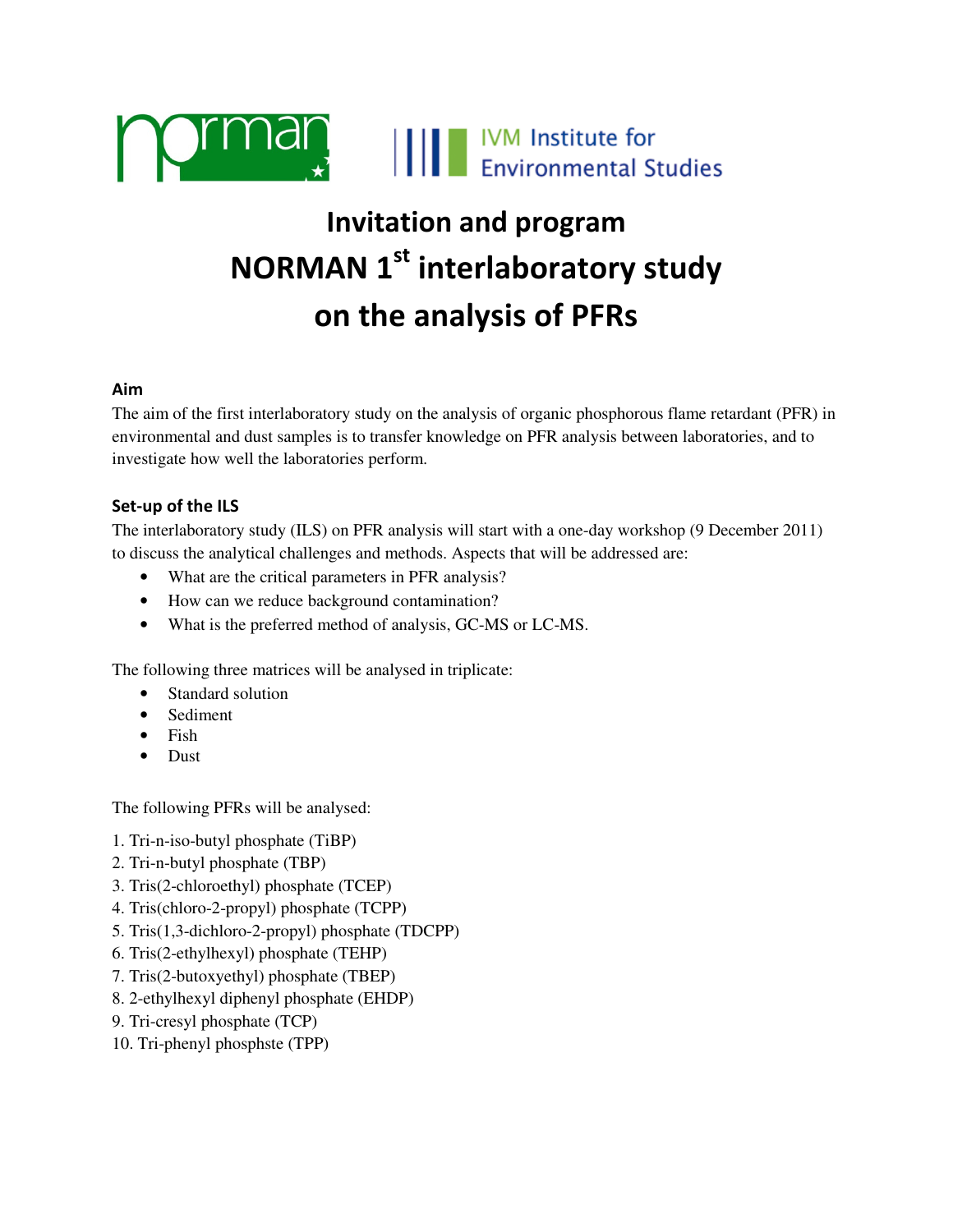

# Invitation and program NORMAN 1<sup>st</sup> interlaboratory study on the analysis of PFRs

### Aim

The aim of the first interlaboratory study on the analysis of organic phosphorous flame retardant (PFR) in environmental and dust samples is to transfer knowledge on PFR analysis between laboratories, and to investigate how well the laboratories perform.

## Set-up of the ILS

The interlaboratory study (ILS) on PFR analysis will start with a one-day workshop (9 December 2011) to discuss the analytical challenges and methods. Aspects that will be addressed are:

- What are the critical parameters in PFR analysis?
- How can we reduce background contamination?
- What is the preferred method of analysis, GC-MS or LC-MS.

The following three matrices will be analysed in triplicate:

- Standard solution
- Sediment
- Fish
- Dust

The following PFRs will be analysed:

- 1. Tri-n-iso-butyl phosphate (TiBP)
- 2. Tri-n-butyl phosphate (TBP)
- 3. Tris(2-chloroethyl) phosphate (TCEP)
- 4. Tris(chloro-2-propyl) phosphate (TCPP)
- 5. Tris(1,3-dichloro-2-propyl) phosphate (TDCPP)
- 6. Tris(2-ethylhexyl) phosphate (TEHP)
- 7. Tris(2-butoxyethyl) phosphate (TBEP)
- 8. 2-ethylhexyl diphenyl phosphate (EHDP)
- 9. Tri-cresyl phosphate (TCP)
- 10. Tri-phenyl phosphste (TPP)